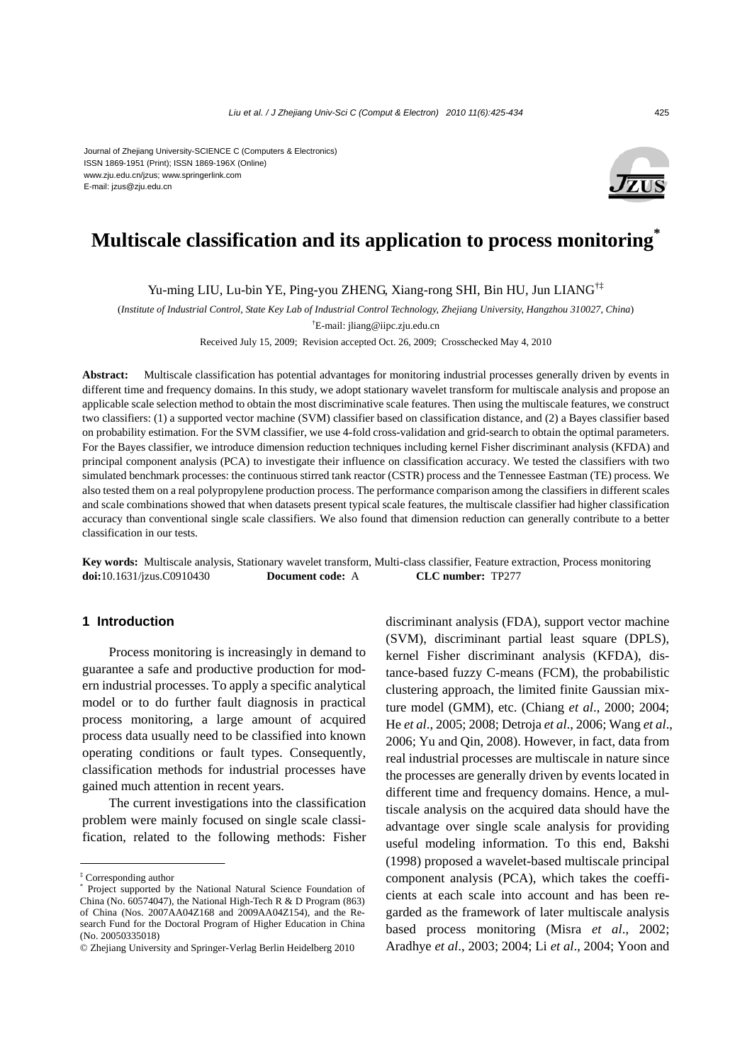Journal of Zhejiang University-SCIENCE C (Computers & Electronics) ISSN 1869-1951 (Print); ISSN 1869-196X (Online) www.zju.edu.cn/jzus; www.springerlink.com E-mail: jzus@zju.edu.cn



# **Multiscale classification and its application to process monitoring\***

Yu-ming LIU, Lu-bin YE, Ping-you ZHENG, Xiang-rong SHI, Bin HU, Jun LIANG†‡

(*Institute of Industrial Control, State Key Lab of Industrial Control Technology, Zhejiang University, Hangzhou 310027, China*)

† E-mail: jliang@iipc.zju.edu.cn

Received July 15, 2009; Revision accepted Oct. 26, 2009; Crosschecked May 4, 2010

**Abstract:** Multiscale classification has potential advantages for monitoring industrial processes generally driven by events in different time and frequency domains. In this study, we adopt stationary wavelet transform for multiscale analysis and propose an applicable scale selection method to obtain the most discriminative scale features. Then using the multiscale features, we construct two classifiers: (1) a supported vector machine (SVM) classifier based on classification distance, and (2) a Bayes classifier based on probability estimation. For the SVM classifier, we use 4-fold cross-validation and grid-search to obtain the optimal parameters. For the Bayes classifier, we introduce dimension reduction techniques including kernel Fisher discriminant analysis (KFDA) and principal component analysis (PCA) to investigate their influence on classification accuracy. We tested the classifiers with two simulated benchmark processes: the continuous stirred tank reactor (CSTR) process and the Tennessee Eastman (TE) process. We also tested them on a real polypropylene production process. The performance comparison among the classifiers in different scales and scale combinations showed that when datasets present typical scale features, the multiscale classifier had higher classification accuracy than conventional single scale classifiers. We also found that dimension reduction can generally contribute to a better classification in our tests.

**Key words:** Multiscale analysis, Stationary wavelet transform, Multi-class classifier, Feature extraction, Process monitoring **doi:**10.1631/jzus.C0910430 **Document code:** A **CLC number:** TP277

# **1 Introduction**

Process monitoring is increasingly in demand to guarantee a safe and productive production for modern industrial processes. To apply a specific analytical model or to do further fault diagnosis in practical process monitoring, a large amount of acquired process data usually need to be classified into known operating conditions or fault types. Consequently, classification methods for industrial processes have gained much attention in recent years.

The current investigations into the classification problem were mainly focused on single scale classification, related to the following methods: Fisher discriminant analysis (FDA), support vector machine (SVM), discriminant partial least square (DPLS), kernel Fisher discriminant analysis (KFDA), distance-based fuzzy C-means (FCM), the probabilistic clustering approach, the limited finite Gaussian mixture model (GMM), etc. (Chiang *et al*., 2000; 2004; He *et al*., 2005; 2008; Detroja *et al*., 2006; Wang *et al*., 2006; Yu and Qin, 2008). However, in fact, data from real industrial processes are multiscale in nature since the processes are generally driven by events located in different time and frequency domains. Hence, a multiscale analysis on the acquired data should have the advantage over single scale analysis for providing useful modeling information. To this end, Bakshi (1998) proposed a wavelet-based multiscale principal component analysis (PCA), which takes the coefficients at each scale into account and has been regarded as the framework of later multiscale analysis based process monitoring (Misra *et al*., 2002; Aradhye *et al*., 2003; 2004; Li *et al*., 2004; Yoon and

<sup>‡</sup> Corresponding author

<sup>\*</sup> Project supported by the National Natural Science Foundation of China (No. 60574047), the National High-Tech R & D Program (863) of China (Nos. 2007AA04Z168 and 2009AA04Z154), and the Research Fund for the Doctoral Program of Higher Education in China (No. 20050335018)

<sup>©</sup> Zhejiang University and Springer-Verlag Berlin Heidelberg 2010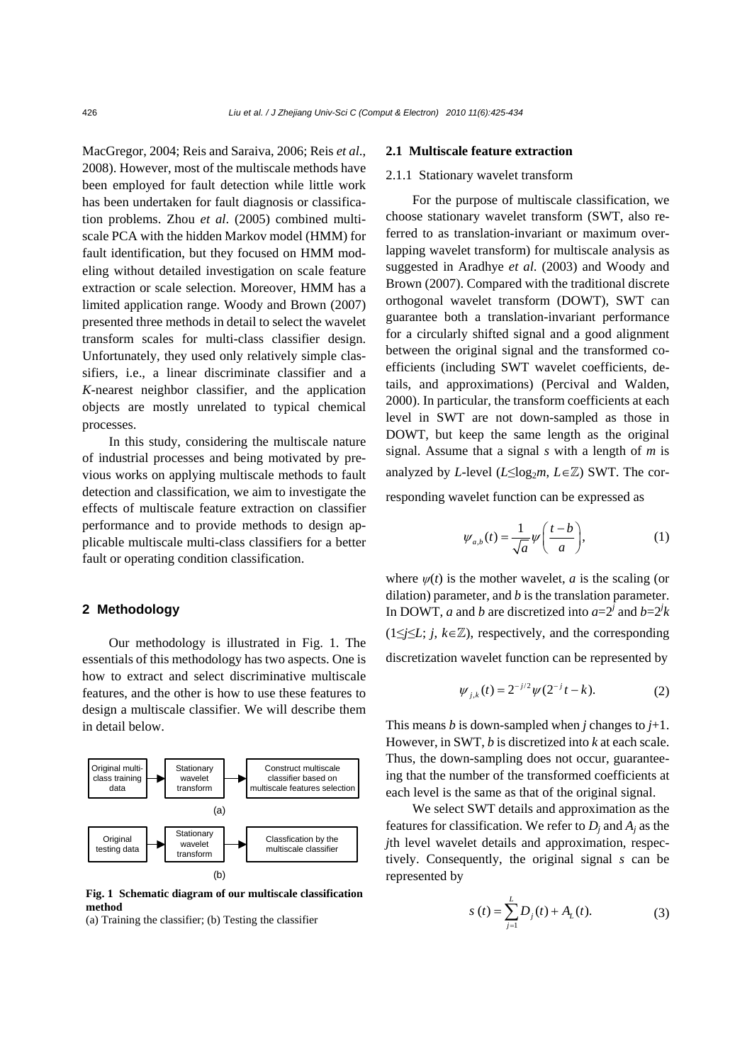MacGregor, 2004; Reis and Saraiva, 2006; Reis *et al*., 2008). However, most of the multiscale methods have been employed for fault detection while little work has been undertaken for fault diagnosis or classification problems. Zhou *et al*. (2005) combined multiscale PCA with the hidden Markov model (HMM) for fault identification, but they focused on HMM modeling without detailed investigation on scale feature extraction or scale selection. Moreover, HMM has a limited application range. Woody and Brown (2007) presented three methods in detail to select the wavelet transform scales for multi-class classifier design. Unfortunately, they used only relatively simple classifiers, i.e., a linear discriminate classifier and a *K*-nearest neighbor classifier, and the application objects are mostly unrelated to typical chemical processes.

In this study, considering the multiscale nature of industrial processes and being motivated by previous works on applying multiscale methods to fault detection and classification, we aim to investigate the effects of multiscale feature extraction on classifier performance and to provide methods to design applicable multiscale multi-class classifiers for a better fault or operating condition classification.

# **2 Methodology**

Our methodology is illustrated in Fig. 1. The essentials of this methodology has two aspects. One is how to extract and select discriminative multiscale features, and the other is how to use these features to design a multiscale classifier. We will describe them in detail below.



**Fig. 1 Schematic diagram of our multiscale classification method** 

(a) Training the classifier; (b) Testing the classifier

#### **2.1 Multiscale feature extraction**

#### 2.1.1Stationary wavelet transform

For the purpose of multiscale classification, we choose stationary wavelet transform (SWT, also referred to as translation-invariant or maximum overlapping wavelet transform) for multiscale analysis as suggested in Aradhye *et al*. (2003) and Woody and Brown (2007). Compared with the traditional discrete orthogonal wavelet transform (DOWT), SWT can guarantee both a translation-invariant performance for a circularly shifted signal and a good alignment between the original signal and the transformed coefficients (including SWT wavelet coefficients, details, and approximations) (Percival and Walden, 2000). In particular, the transform coefficients at each level in SWT are not down-sampled as those in DOWT, but keep the same length as the original signal. Assume that a signal *s* with a length of *m* is analyzed by *L*-level ( $L \leq \log_2 m$ ,  $L \in \mathbb{Z}$ ) SWT. The corresponding wavelet function can be expressed as

$$
\psi_{a,b}(t) = \frac{1}{\sqrt{a}} \psi\left(\frac{t-b}{a}\right),\tag{1}
$$

where  $\psi(t)$  is the mother wavelet, *a* is the scaling (or dilation) parameter, and *b* is the translation parameter. In DOWT, *a* and *b* are discretized into  $a=2^j$  and  $b=2^jk$ (1≤*j*≤*L*; *j*, *k*∈Z), respectively, and the corresponding discretization wavelet function can be represented by

$$
\psi_{j,k}(t) = 2^{-j/2} \psi(2^{-j}t - k). \tag{2}
$$

This means *b* is down-sampled when *j* changes to  $j+1$ . However, in SWT, *b* is discretized into *k* at each scale. Thus, the down-sampling does not occur, guaranteeing that the number of the transformed coefficients at each level is the same as that of the original signal.

We select SWT details and approximation as the features for classification. We refer to  $D_i$  and  $A_i$  as the *j*th level wavelet details and approximation, respectively. Consequently, the original signal *s* can be represented by

$$
s(t) = \sum_{j=1}^{L} D_j(t) + A_L(t).
$$
 (3)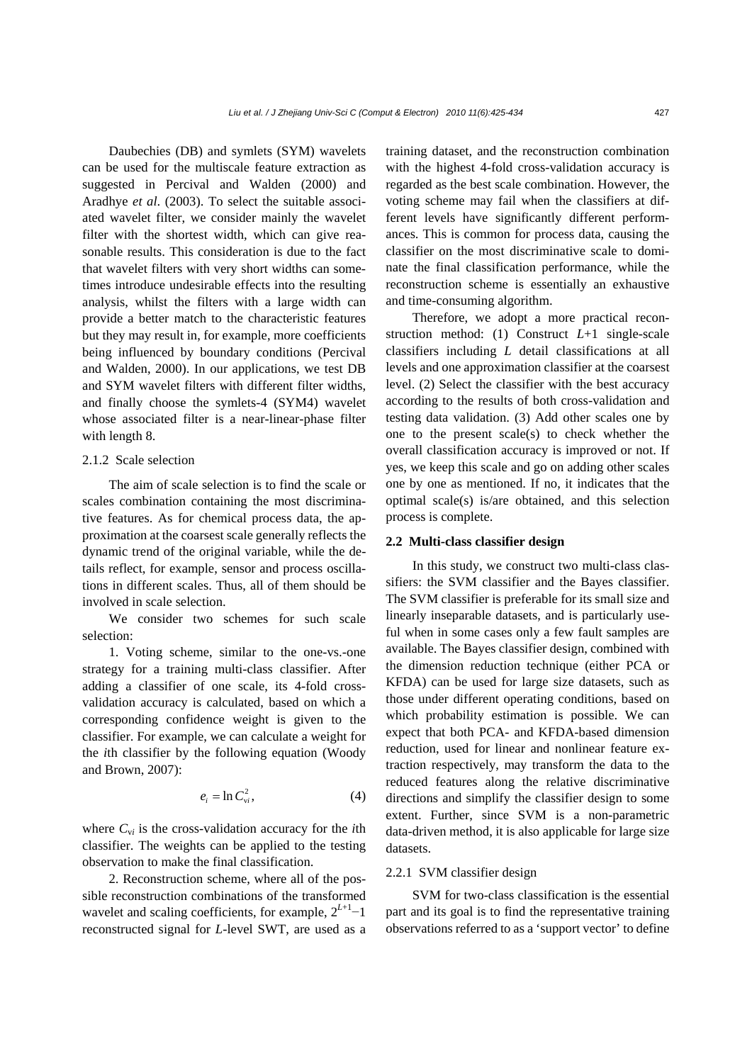Daubechies (DB) and symlets (SYM) wavelets can be used for the multiscale feature extraction as suggested in Percival and Walden (2000) and Aradhye *et al*. (2003). To select the suitable associated wavelet filter, we consider mainly the wavelet filter with the shortest width, which can give reasonable results. This consideration is due to the fact that wavelet filters with very short widths can sometimes introduce undesirable effects into the resulting analysis, whilst the filters with a large width can provide a better match to the characteristic features but they may result in, for example, more coefficients being influenced by boundary conditions (Percival and Walden, 2000). In our applications, we test DB and SYM wavelet filters with different filter widths, and finally choose the symlets-4 (SYM4) wavelet whose associated filter is a near-linear-phase filter with length 8.

### 2.1.2 Scale selection

The aim of scale selection is to find the scale or scales combination containing the most discriminative features. As for chemical process data, the approximation at the coarsest scale generally reflects the dynamic trend of the original variable, while the details reflect, for example, sensor and process oscillations in different scales. Thus, all of them should be involved in scale selection.

We consider two schemes for such scale selection:

1. Voting scheme, similar to the one-vs.-one strategy for a training multi-class classifier. After adding a classifier of one scale, its 4-fold crossvalidation accuracy is calculated, based on which a corresponding confidence weight is given to the classifier. For example, we can calculate a weight for the *i*th classifier by the following equation (Woody and Brown, 2007):

$$
e_i = \ln C_{vi}^2, \tag{4}
$$

where  $C_{vi}$  is the cross-validation accuracy for the *i*th classifier. The weights can be applied to the testing observation to make the final classification.

2. Reconstruction scheme, where all of the possible reconstruction combinations of the transformed wavelet and scaling coefficients, for example, 2*<sup>L</sup>*+1−1 reconstructed signal for *L*-level SWT, are used as a training dataset, and the reconstruction combination with the highest 4-fold cross-validation accuracy is regarded as the best scale combination. However, the voting scheme may fail when the classifiers at different levels have significantly different performances. This is common for process data, causing the classifier on the most discriminative scale to dominate the final classification performance, while the reconstruction scheme is essentially an exhaustive and time-consuming algorithm.

Therefore, we adopt a more practical reconstruction method: (1) Construct *L*+1 single-scale classifiers including *L* detail classifications at all levels and one approximation classifier at the coarsest level. (2) Select the classifier with the best accuracy according to the results of both cross-validation and testing data validation. (3) Add other scales one by one to the present scale(s) to check whether the overall classification accuracy is improved or not. If yes, we keep this scale and go on adding other scales one by one as mentioned. If no, it indicates that the optimal scale(s) is/are obtained, and this selection process is complete.

#### **2.2 Multi-class classifier design**

In this study, we construct two multi-class classifiers: the SVM classifier and the Bayes classifier. The SVM classifier is preferable for its small size and linearly inseparable datasets, and is particularly useful when in some cases only a few fault samples are available. The Bayes classifier design, combined with the dimension reduction technique (either PCA or KFDA) can be used for large size datasets, such as those under different operating conditions, based on which probability estimation is possible. We can expect that both PCA- and KFDA-based dimension reduction, used for linear and nonlinear feature extraction respectively, may transform the data to the reduced features along the relative discriminative directions and simplify the classifier design to some extent. Further, since SVM is a non-parametric data-driven method, it is also applicable for large size datasets.

#### 2.2.1 SVM classifier design

SVM for two-class classification is the essential part and its goal is to find the representative training observations referred to as a 'support vector' to define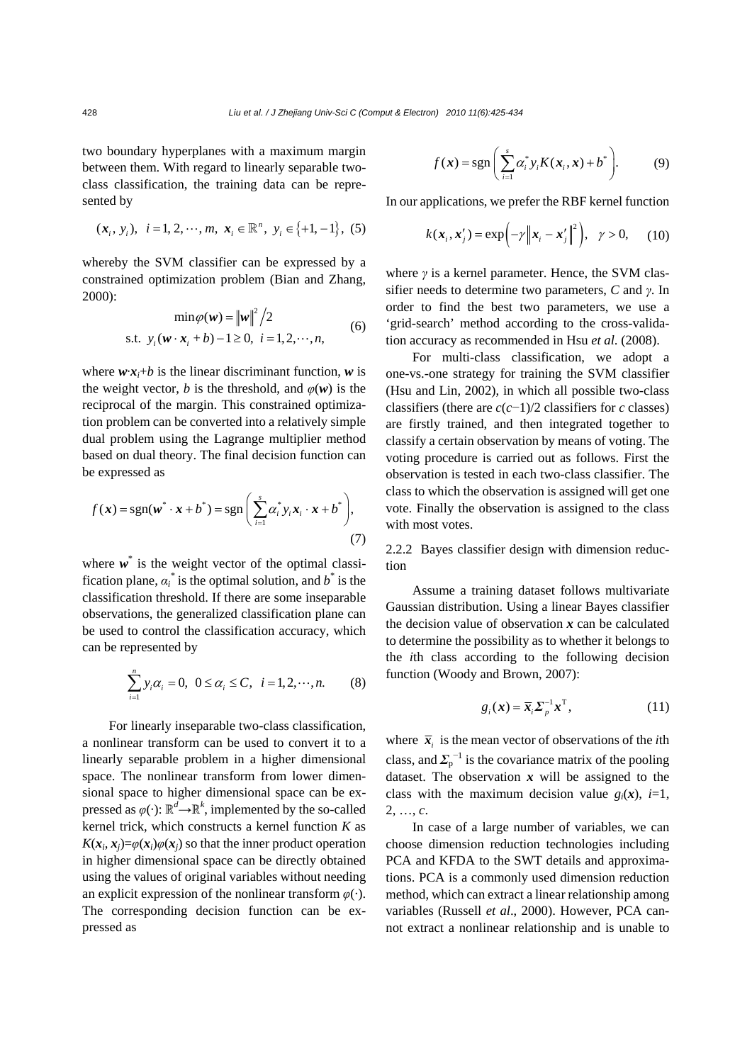two boundary hyperplanes with a maximum margin between them. With regard to linearly separable twoclass classification, the training data can be represented by

$$
(x_i, y_i), i = 1, 2, \dots, m, x_i \in \mathbb{R}^n, y_i \in \{+1, -1\}, (5)
$$

whereby the SVM classifier can be expressed by a constrained optimization problem (Bian and Zhang, 2000):<br> $(3.2000)^2$ 

$$
\min \varphi(\mathbf{w}) = \|\mathbf{w}\|^2 / 2
$$
  
s.t.  $y_i(\mathbf{w} \cdot \mathbf{x}_i + b) - 1 \ge 0, \ i = 1, 2, \cdots, n,$  (6)

where  $w \cdot x_i + b$  is the linear discriminant function, w is the weight vector, *b* is the threshold, and  $\varphi(w)$  is the reciprocal of the margin. This constrained optimization problem can be converted into a relatively simple dual problem using the Lagrange multiplier method based on dual theory. The final decision function can be expressed as

$$
f(\boldsymbol{x}) = \text{sgn}(\boldsymbol{w}^* \cdot \boldsymbol{x} + b^*) = \text{sgn}\left(\sum_{i=1}^s \alpha_i^* y_i \boldsymbol{x}_i \cdot \boldsymbol{x} + b^*\right),\tag{7}
$$

where  $w^*$  is the weight vector of the optimal classification plane,  $\alpha_i^*$  is the optimal solution, and  $b^*$  is the classification threshold. If there are some inseparable observations, the generalized classification plane can be used to control the classification accuracy, which can be represented by

$$
\sum_{i=1}^{n} y_i \alpha_i = 0, \ \ 0 \le \alpha_i \le C, \ \ i = 1, 2, \cdots, n. \tag{8}
$$

For linearly inseparable two-class classification, a nonlinear transform can be used to convert it to a linearly separable problem in a higher dimensional space. The nonlinear transform from lower dimensional space to higher dimensional space can be expressed as  $\varphi(\cdot)$ :  $\mathbb{R}^d \rightarrow \mathbb{R}^k$ , implemented by the so-called kernel trick, which constructs a kernel function *K* as  $K(x_i, x_j) = \varphi(x_i) \varphi(x_j)$  so that the inner product operation in higher dimensional space can be directly obtained using the values of original variables without needing an explicit expression of the nonlinear transform *φ*(·). The corresponding decision function can be expressed as

$$
f(\boldsymbol{x}) = \text{sgn}\left(\sum_{i=1}^{s} \alpha_i^* y_i K(\boldsymbol{x}_i, \boldsymbol{x}) + b^*\right).
$$
 (9)

In our applications, we prefer the RBF kernel function

$$
k(\boldsymbol{x}_i, \boldsymbol{x}'_j) = \exp\biggl(-\gamma \bigl\|\boldsymbol{x}_i - \boldsymbol{x}'_j\bigr\|^2\biggr), \quad \gamma > 0, \qquad (10)
$$

where *γ* is a kernel parameter. Hence, the SVM classifier needs to determine two parameters, *C* and *γ*. In order to find the best two parameters, we use a 'grid-search' method according to the cross-validation accuracy as recommended in Hsu *et al*. (2008).

For multi-class classification, we adopt a one-vs.-one strategy for training the SVM classifier (Hsu and Lin, 2002), in which all possible two-class classifiers (there are *c*(*c*−1)/2 classifiers for *c* classes) are firstly trained, and then integrated together to classify a certain observation by means of voting. The voting procedure is carried out as follows. First the observation is tested in each two-class classifier. The class to which the observation is assigned will get one vote. Finally the observation is assigned to the class with most votes.

2.2.2 Bayes classifier design with dimension reduction

Assume a training dataset follows multivariate Gaussian distribution. Using a linear Bayes classifier the decision value of observation  $x$  can be calculated to determine the possibility as to whether it belongs to the *i*th class according to the following decision function (Woody and Brown, 2007):

$$
g_i(\mathbf{x}) = \overline{\mathbf{x}}_i \Sigma_p^{-1} \mathbf{x}^{\mathrm{T}}, \tag{11}
$$

where  $\bar{x}_i$  is the mean vector of observations of the *i*th class, and  $\Sigma_{p}^{-1}$  is the covariance matrix of the pooling dataset. The observation  $x$  will be assigned to the class with the maximum decision value  $g_i(x)$ ,  $i=1$ , 2, …, *c*.

In case of a large number of variables, we can choose dimension reduction technologies including PCA and KFDA to the SWT details and approximations. PCA is a commonly used dimension reduction method, which can extract a linear relationship among variables (Russell *et al*., 2000). However, PCA cannot extract a nonlinear relationship and is unable to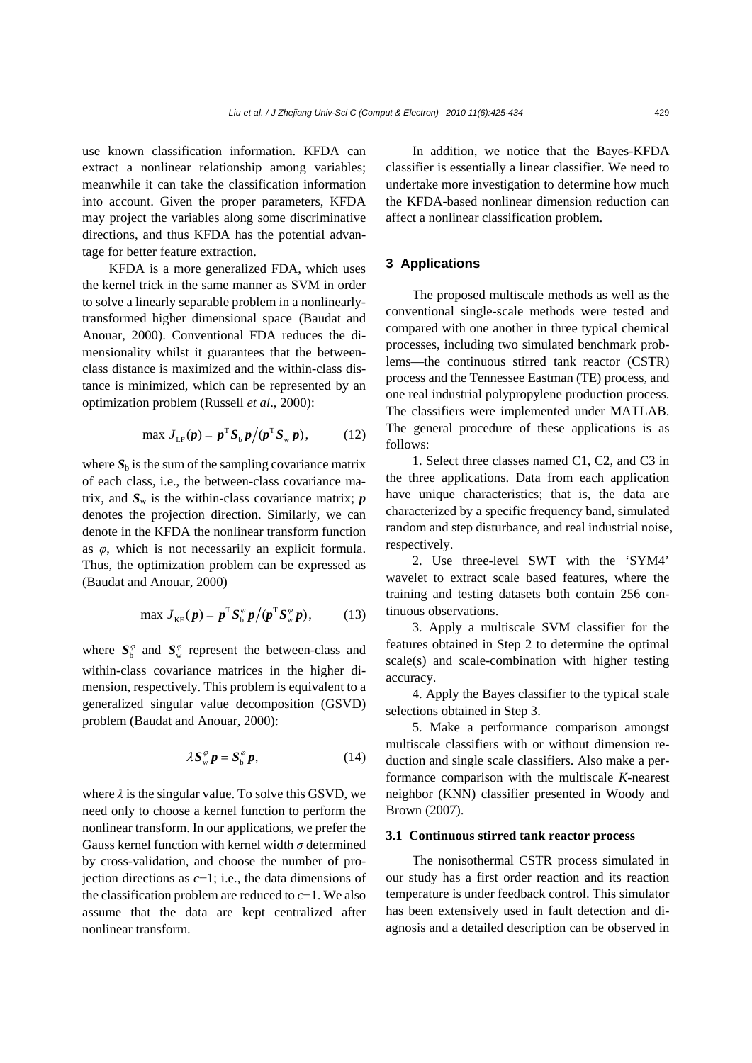use known classification information. KFDA can extract a nonlinear relationship among variables; meanwhile it can take the classification information into account. Given the proper parameters, KFDA may project the variables along some discriminative directions, and thus KFDA has the potential advantage for better feature extraction.

KFDA is a more generalized FDA, which uses the kernel trick in the same manner as SVM in order to solve a linearly separable problem in a nonlinearlytransformed higher dimensional space (Baudat and Anouar, 2000). Conventional FDA reduces the dimensionality whilst it guarantees that the betweenclass distance is maximized and the within-class distance is minimized, which can be represented by an optimization problem (Russell *et al*., 2000):

$$
\max J_{LF}(\boldsymbol{p}) = \boldsymbol{p}^{\mathrm{T}} \boldsymbol{S}_{\mathrm{b}} \boldsymbol{p} / (\boldsymbol{p}^{\mathrm{T}} \boldsymbol{S}_{\mathrm{w}} \boldsymbol{p}), \qquad (12)
$$

where  $S_b$  is the sum of the sampling covariance matrix of each class, i.e., the between-class covariance matrix, and  $S_w$  is the within-class covariance matrix;  $p$ denotes the projection direction. Similarly, we can denote in the KFDA the nonlinear transform function as *φ*, which is not necessarily an explicit formula. Thus, the optimization problem can be expressed as (Baudat and Anouar, 2000)

$$
\max J_{\text{KF}}(\boldsymbol{p}) = \boldsymbol{p}^{\text{T}} \boldsymbol{S}_{\text{b}}^{\varphi} \boldsymbol{p} / (\boldsymbol{p}^{\text{T}} \boldsymbol{S}_{\text{w}}^{\varphi} \boldsymbol{p}), \qquad (13)
$$

where  $S_b^{\varphi}$  and  $S_w^{\varphi}$  represent the between-class and within-class covariance matrices in the higher dimension, respectively. This problem is equivalent to a generalized singular value decomposition (GSVD) problem (Baudat and Anouar, 2000):

$$
\lambda S_{\rm w}^{\varphi} p = S_{\rm b}^{\varphi} p,\qquad(14)
$$

where  $\lambda$  is the singular value. To solve this GSVD, we need only to choose a kernel function to perform the nonlinear transform. In our applications, we prefer the Gauss kernel function with kernel width *σ* determined by cross-validation, and choose the number of projection directions as *c*−1; i.e., the data dimensions of the classification problem are reduced to *c*−1. We also assume that the data are kept centralized after nonlinear transform.

In addition, we notice that the Bayes-KFDA classifier is essentially a linear classifier. We need to undertake more investigation to determine how much the KFDA-based nonlinear dimension reduction can affect a nonlinear classification problem.

# **3 Applications**

The proposed multiscale methods as well as the conventional single-scale methods were tested and compared with one another in three typical chemical processes, including two simulated benchmark problems—the continuous stirred tank reactor (CSTR) process and the Tennessee Eastman (TE) process, and one real industrial polypropylene production process. The classifiers were implemented under MATLAB. The general procedure of these applications is as follows:

1. Select three classes named C1, C2, and C3 in the three applications. Data from each application have unique characteristics; that is, the data are characterized by a specific frequency band, simulated random and step disturbance, and real industrial noise, respectively.

2. Use three-level SWT with the 'SYM4' wavelet to extract scale based features, where the training and testing datasets both contain 256 continuous observations.

3. Apply a multiscale SVM classifier for the features obtained in Step 2 to determine the optimal scale(s) and scale-combination with higher testing accuracy.

4. Apply the Bayes classifier to the typical scale selections obtained in Step 3.

5. Make a performance comparison amongst multiscale classifiers with or without dimension reduction and single scale classifiers. Also make a performance comparison with the multiscale *K*-nearest neighbor (KNN) classifier presented in Woody and Brown (2007).

# **3.1 Continuous stirred tank reactor process**

The nonisothermal CSTR process simulated in our study has a first order reaction and its reaction temperature is under feedback control. This simulator has been extensively used in fault detection and diagnosis and a detailed description can be observed in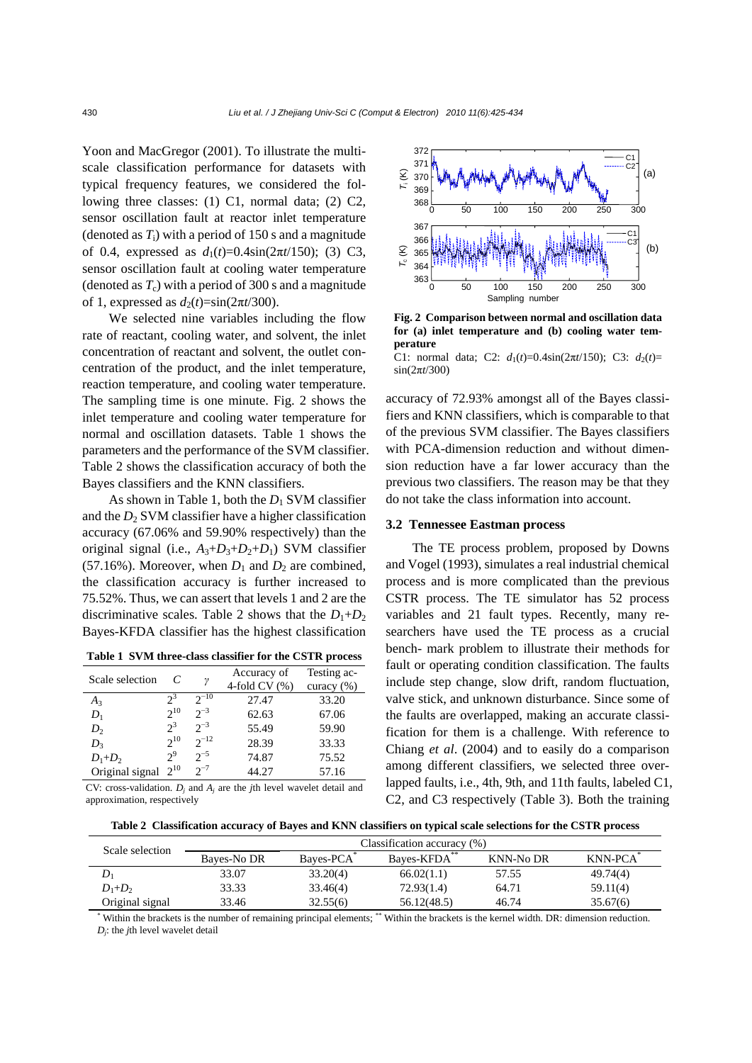Yoon and MacGregor (2001). To illustrate the multiscale classification performance for datasets with typical frequency features, we considered the following three classes: (1) C1, normal data; (2) C2, sensor oscillation fault at reactor inlet temperature (denoted as  $T_i$ ) with a period of 150 s and a magnitude of 0.4, expressed as  $d_1(t)=0.4\sin(2\pi t/150)$ ; (3) C3, sensor oscillation fault at cooling water temperature (denoted as  $T_c$ ) with a period of 300 s and a magnitude of 1, expressed as  $d_2(t)=\sin(2\pi t/300)$ .

We selected nine variables including the flow rate of reactant, cooling water, and solvent, the inlet concentration of reactant and solvent, the outlet concentration of the product, and the inlet temperature, reaction temperature, and cooling water temperature. The sampling time is one minute. Fig. 2 shows the inlet temperature and cooling water temperature for normal and oscillation datasets. Table 1 shows the parameters and the performance of the SVM classifier. Table 2 shows the classification accuracy of both the Bayes classifiers and the KNN classifiers.

As shown in Table 1, both the  $D_1$  SVM classifier and the  $D_2$  SVM classifier have a higher classification accuracy (67.06% and 59.90% respectively) than the original signal (i.e.,  $A_3+D_3+D_2+D_1$ ) SVM classifier (57.16%). Moreover, when  $D_1$  and  $D_2$  are combined, the classification accuracy is further increased to 75.52%. Thus, we can assert that levels 1 and 2 are the discriminative scales. Table 2 shows that the  $D_1+D_2$ Bayes-KFDA classifier has the highest classification

| Table 1 SVM three-class classifier for the CSTR process |  |  |  |
|---------------------------------------------------------|--|--|--|
|---------------------------------------------------------|--|--|--|

| Scale selection |          | ν         | Accuracy of<br>4-fold CV $(\%)$ | Testing ac-<br>curacy $(\% )$ |
|-----------------|----------|-----------|---------------------------------|-------------------------------|
| $A_3$           | $2^3$    | $2^{-10}$ | 27.47                           | 33.20                         |
| $D_1$           | $2^{10}$ | $2^{-3}$  | 62.63                           | 67.06                         |
| D <sub>2</sub>  | $2^3$    | $2^{-3}$  | 55.49                           | 59.90                         |
| $D_3$           | $2^{10}$ | $2^{-12}$ | 28.39                           | 33.33                         |
| $D_1+D_2$       | $2^9$    | $2^{-5}$  | 74.87                           | 75.52                         |
| Original signal | $2^{10}$ | $2^{-7}$  | 44.27                           | 57.16                         |

CV: cross-validation. *Dj* and *Aj* are the *j*th level wavelet detail and approximation, respectively



**Fig. 2 Comparison between normal and oscillation data for (a) inlet temperature and (b) cooling water temperature** 

C1: normal data; C2:  $d_1(t)=0.4\sin(2\pi t/150)$ ; C3:  $d_2(t)=$ sin(2π*t*/300)

accuracy of 72.93% amongst all of the Bayes classifiers and KNN classifiers, which is comparable to that of the previous SVM classifier. The Bayes classifiers with PCA-dimension reduction and without dimension reduction have a far lower accuracy than the previous two classifiers. The reason may be that they do not take the class information into account.

# **3.2 Tennessee Eastman process**

The TE process problem, proposed by Downs and Vogel (1993), simulates a real industrial chemical process and is more complicated than the previous CSTR process. The TE simulator has 52 process variables and 21 fault types. Recently, many researchers have used the TE process as a crucial bench- mark problem to illustrate their methods for fault or operating condition classification. The faults include step change, slow drift, random fluctuation, valve stick, and unknown disturbance. Since some of the faults are overlapped, making an accurate classification for them is a challenge. With reference to Chiang *et al*. (2004) and to easily do a comparison among different classifiers, we selected three overlapped faults, i.e., 4th, 9th, and 11th faults, labeled C1, C2, and C3 respectively (Table 3). Both the training

**Table 2 Classification accuracy of Bayes and KNN classifiers on typical scale selections for the CSTR process**

| Scale selection | Classification accuracy $(\%)$ |                        |              |           |                |  |  |
|-----------------|--------------------------------|------------------------|--------------|-----------|----------------|--|--|
|                 | Bayes-No DR                    | Bayes-PCA <sup>*</sup> | Bayes-KFDA** | KNN-No DR | <b>KNN-PCA</b> |  |  |
|                 | 33.07                          | 33.20(4)               | 66.02(1.1)   | 57.55     | 49.74(4)       |  |  |
| $D_1+D_2$       | 33.33                          | 33.46(4)               | 72.93(1.4)   | 64.71     | 59.11(4)       |  |  |
| Original signal | 33.46                          | 32.55(6)               | 56.12(48.5)  | 46.74     | 35.67(6)       |  |  |

\* Within the brackets is the number of remaining principal elements; \*\* Within the brackets is the kernel width. DR: dimension reduction. *Dj*: the *j*th level wavelet detail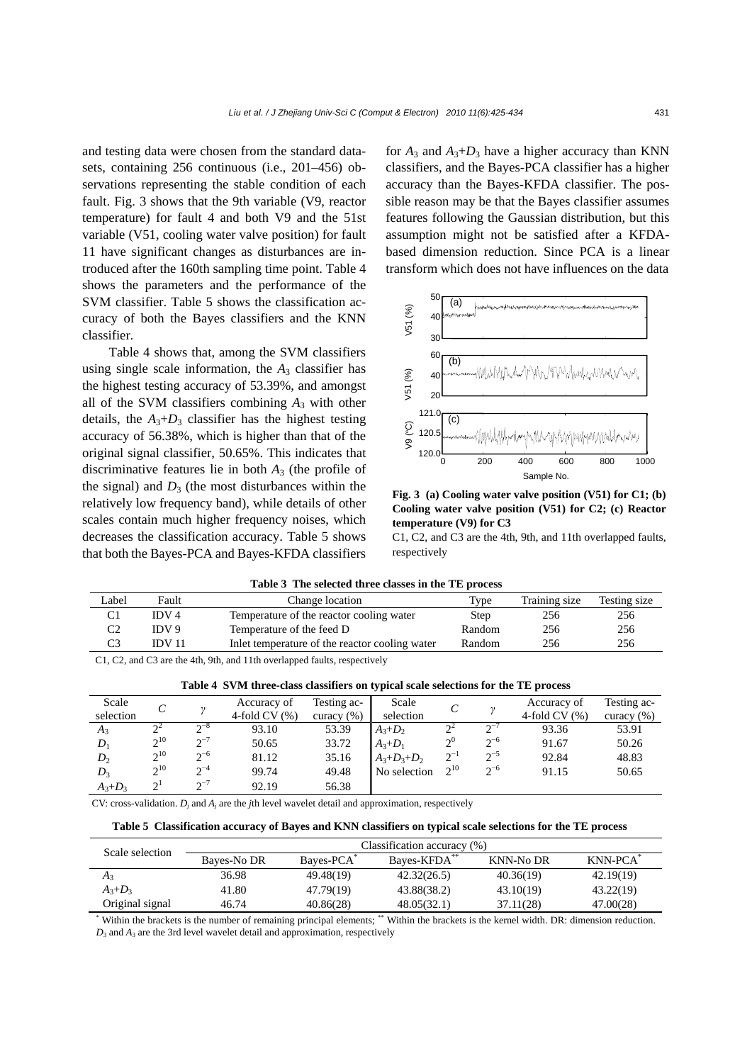and testing data were chosen from the standard datasets, containing 256 continuous (i.e., 201–456) observations representing the stable condition of each fault. Fig. 3 shows that the 9th variable (V9, reactor temperature) for fault 4 and both V9 and the 51st variable (V51, cooling water valve position) for fault 11 have significant changes as disturbances are introduced after the 160th sampling time point. Table 4 shows the parameters and the performance of the SVM classifier. Table 5 shows the classification accuracy of both the Bayes classifiers and the KNN classifier.

Table 4 shows that, among the SVM classifiers using single scale information, the  $A_3$  classifier has the highest testing accuracy of 53.39%, and amongst all of the SVM classifiers combining *A*3 with other details, the  $A_3+D_3$  classifier has the highest testing accuracy of 56.38%, which is higher than that of the original signal classifier, 50.65%. This indicates that discriminative features lie in both  $A_3$  (the profile of the signal) and  $D_3$  (the most disturbances within the relatively low frequency band), while details of other scales contain much higher frequency noises, which decreases the classification accuracy. Table 5 shows that both the Bayes-PCA and Bayes-KFDA classifiers for  $A_3$  and  $A_3+D_3$  have a higher accuracy than KNN classifiers, and the Bayes-PCA classifier has a higher accuracy than the Bayes-KFDA classifier. The possible reason may be that the Bayes classifier assumes features following the Gaussian distribution, but this assumption might not be satisfied after a KFDAbased dimension reduction. Since PCA is a linear transform which does not have influences on the data



**Fig. 3 (a) Cooling water valve position (V51) for C1; (b) Cooling water valve position (V51) for C2; (c) Reactor temperature (V9) for C3**

C1, C2, and C3 are the 4th, 9th, and 11th overlapped faults, respectively

| Label                                                                     | Fault            | Change location                             | Type   | Training size | Testing size |  |
|---------------------------------------------------------------------------|------------------|---------------------------------------------|--------|---------------|--------------|--|
|                                                                           | IDV <sub>4</sub> | Temperature of the reactor cooling water    | Step   | 256           | 256          |  |
| C2                                                                        | IDV 9            | Temperature of the feed D                   | Random | 256           | 256          |  |
| C3                                                                        | <b>IDV 11</b>    | In temperature of the reactor cooling water | Random | 256           | 256          |  |
| C1, C2, and C3 are the 4th, 9th, and 11th overlapped faults, respectively |                  |                                             |        |               |              |  |

|  |  | Table 4 SVM three-class classifiers on typical scale selections for the TE process |  |
|--|--|------------------------------------------------------------------------------------|--|

|             | Table + Byin three-class classifiers on typical scale selections for the TE process |                   |                |                |                   |          |          |                |                |
|-------------|-------------------------------------------------------------------------------------|-------------------|----------------|----------------|-------------------|----------|----------|----------------|----------------|
| Scale       |                                                                                     |                   | Accuracy of    | Testing ac-    | Scale             |          |          | Accuracy of    | Testing ac-    |
| selection   |                                                                                     |                   | 4-fold $CV(%)$ | curacy $(\% )$ | selection         |          |          | 4-fold $CV(%)$ | curacy $(\% )$ |
| $A_3$       |                                                                                     | $\sim$ $\sim$     | 93.10          | 53.39          | $A_3+D_2$         |          |          | 93.36          | 53.91          |
| $D_1$       | $2^{10}$                                                                            | $2^{-7}$          | 50.65          | 33.72          | $A_3 + D_1$       | $2^0$    | $2^{-6}$ | 91.67          | 50.26          |
| $D_2$       | $2^{10}$                                                                            | $2^{-6}$          | 81.12          | 35.16          | $A_3 + D_3 + D_2$ | $2^{-1}$ | $2^{-5}$ | 92.84          | 48.83          |
| $D_3$       | $2^{10}$                                                                            | $2^{-4}$          | 99.74          | 49.48          | No selection      | $2^{10}$ | $2^{-6}$ | 91.15          | 50.65          |
| $A_3 + D_3$ | $\gamma$ <sup>1</sup>                                                               | $\mathbf{a}^{-7}$ | 92.19          | 56.38          |                   |          |          |                |                |

CV: cross-validation.  $D_i$  and  $A_i$  are the *j*th level wavelet detail and approximation, respectively

| Table 5 Classification accuracy of Bayes and KNN classifiers on typical scale selections for the TE process |  |  |
|-------------------------------------------------------------------------------------------------------------|--|--|
|                                                                                                             |  |  |

| Scale selection | Classification accuracy (%) |           |             |           |                      |  |  |
|-----------------|-----------------------------|-----------|-------------|-----------|----------------------|--|--|
|                 | Bayes-No DR                 | Baves-PCA | Baves-KFDA  | KNN-No DR | KNN-PCA <sup>*</sup> |  |  |
| $A_3$           | 36.98                       | 49.48(19) | 42.32(26.5) | 40.36(19) | 42.19(19)            |  |  |
| $A_3+D_3$       | 41.80                       | 47.79(19) | 43.88(38.2) | 43.10(19) | 43.22(19)            |  |  |
| Original signal | 46.74                       | 40.86(28) | 48.05(32.1) | 37.11(28) | 47.00(28)            |  |  |

\* Within the brackets is the number of remaining principal elements; \*\* Within the brackets is the kernel width. DR: dimension reduction. *D*<sup>3</sup> and *A*3 are the 3rd level wavelet detail and approximation, respectively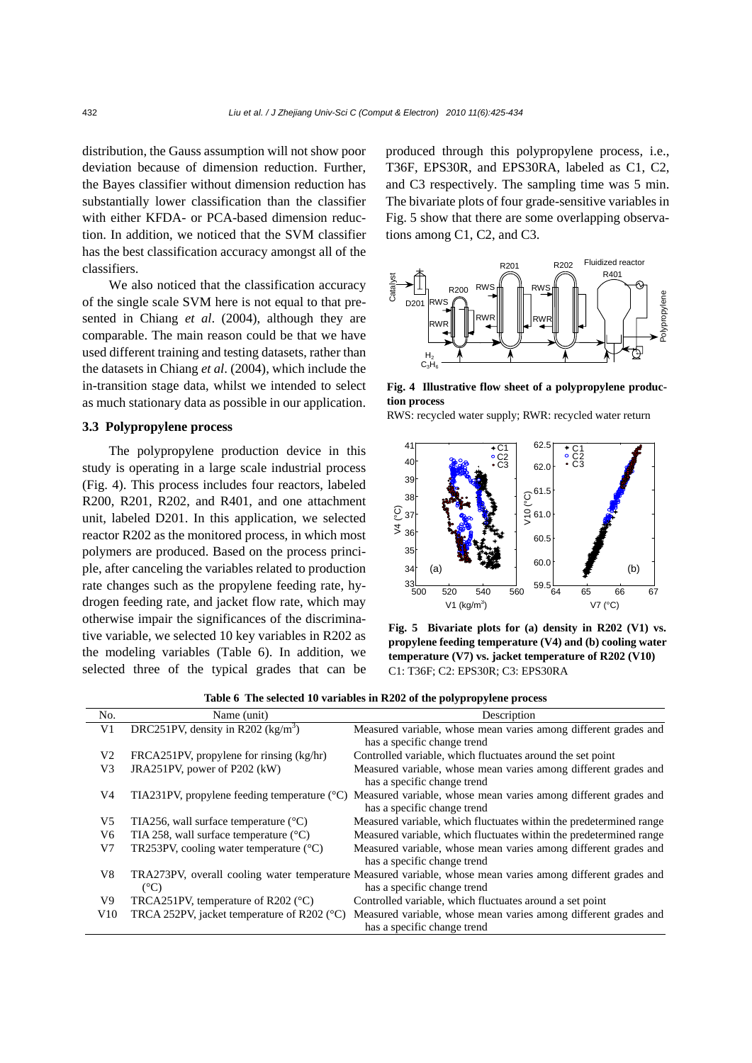distribution, the Gauss assumption will not show poor deviation because of dimension reduction. Further, the Bayes classifier without dimension reduction has substantially lower classification than the classifier with either KFDA- or PCA-based dimension reduction. In addition, we noticed that the SVM classifier has the best classification accuracy amongst all of the classifiers.

We also noticed that the classification accuracy of the single scale SVM here is not equal to that presented in Chiang *et al*. (2004), although they are comparable. The main reason could be that we have used different training and testing datasets, rather than the datasets in Chiang *et al*. (2004), which include the in-transition stage data, whilst we intended to select as much stationary data as possible in our application.

# **3.3 Polypropylene process**

The polypropylene production device in this study is operating in a large scale industrial process (Fig. 4). This process includes four reactors, labeled R200, R201, R202, and R401, and one attachment unit, labeled D201. In this application, we selected reactor R202 as the monitored process, in which most polymers are produced. Based on the process principle, after canceling the variables related to production rate changes such as the propylene feeding rate, hydrogen feeding rate, and jacket flow rate, which may otherwise impair the significances of the discriminative variable, we selected 10 key variables in R202 as the modeling variables (Table 6). In addition, we selected three of the typical grades that can be

produced through this polypropylene process, i.e., T36F, EPS30R, and EPS30RA, labeled as C1, C2, and C3 respectively. The sampling time was 5 min. The bivariate plots of four grade-sensitive variables in Fig. 5 show that there are some overlapping observations among C1, C2, and C3.



**Fig. 4 Illustrative flow sheet of a polypropylene production process** 



**Fig. 5 Bivariate plots for (a) density in R202 (V1) vs. propylene feeding temperature (V4) and (b) cooling water temperature (V7) vs. jacket temperature of R202 (V10)**  C1: T36F; C2: EPS30R; C3: EPS30RA

|  | Table 6 The selected 10 variables in R202 of the polypropylene process |  |  |  |  |
|--|------------------------------------------------------------------------|--|--|--|--|
|--|------------------------------------------------------------------------|--|--|--|--|

| No.            | Name (unit)                                             | Description                                                                                                                                |
|----------------|---------------------------------------------------------|--------------------------------------------------------------------------------------------------------------------------------------------|
| V <sub>1</sub> | DRC251PV, density in R202 $(kg/m3)$                     | Measured variable, whose mean varies among different grades and<br>has a specific change trend                                             |
| V <sub>2</sub> | FRCA251PV, propylene for rinsing $(kg/hr)$              | Controlled variable, which fluctuates around the set point                                                                                 |
| V <sub>3</sub> | JRA251PV, power of P202 (kW)                            | Measured variable, whose mean varies among different grades and<br>has a specific change trend                                             |
| V4             | TIA231PV, propylene feeding temperature $({}^{\circ}C)$ | Measured variable, whose mean varies among different grades and<br>has a specific change trend                                             |
| V <sub>5</sub> | TIA256, wall surface temperature $(^{\circ}C)$          | Measured variable, which fluctuates within the predetermined range                                                                         |
| V <sub>6</sub> | TIA 258, wall surface temperature $(^{\circ}C)$         | Measured variable, which fluctuates within the predetermined range                                                                         |
| V7             | TR253PV, cooling water temperature $(^{\circ}C)$        | Measured variable, whose mean varies among different grades and<br>has a specific change trend                                             |
| V8             | $(^{\circ}C)$                                           | TRA273PV, overall cooling water temperature Measured variable, whose mean varies among different grades and<br>has a specific change trend |
| V9             | TRCA251PV, temperature of R202 $(°C)$                   | Controlled variable, which fluctuates around a set point                                                                                   |
| V10            | TRCA 252PV, jacket temperature of R202 ( $^{\circ}$ C)  | Measured variable, whose mean varies among different grades and<br>has a specific change trend                                             |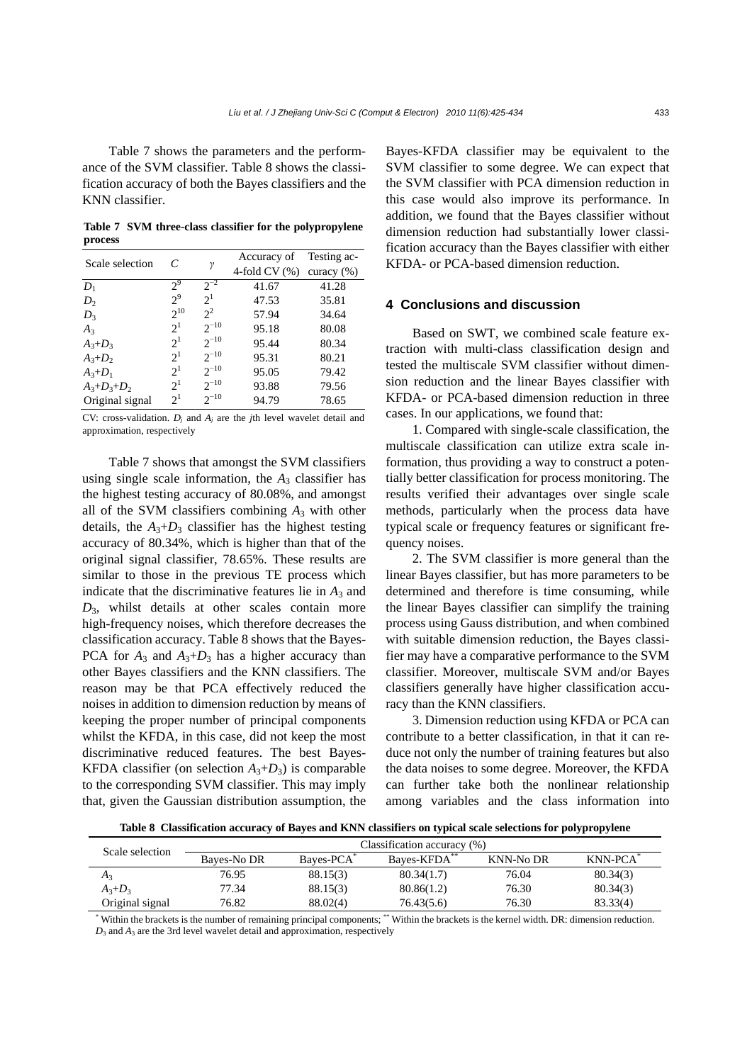Table 7 shows the parameters and the performance of the SVM classifier. Table 8 shows the classification accuracy of both the Bayes classifiers and the KNN classifier.

**Table 7 SVM three-class classifier for the polypropylene process**

| Scale selection   | C              |           | Accuracy of    | Testing ac-    |
|-------------------|----------------|-----------|----------------|----------------|
|                   |                | γ         | 4-fold $CV(%)$ | curacy $(\% )$ |
| $D_1$             | $2^9$          | $2^{-2}$  | 41.67          | 41.28          |
| $D_2$             | $2^9$          | $2^1$     | 47.53          | 35.81          |
| $D_3$             | $2^{10}$       | $2^2$     | 57.94          | 34.64          |
| $A_3$             | 2 <sup>1</sup> | $2^{-10}$ | 95.18          | 80.08          |
| $A_3 + D_3$       | $2^1$          | $2^{-10}$ | 95.44          | 80.34          |
| $A_3+D_2$         | $2^1$          | $2^{-10}$ | 95.31          | 80.21          |
| $A_3 + D_1$       | 2 <sup>1</sup> | $2^{-10}$ | 95.05          | 79.42          |
| $A_3 + D_3 + D_2$ | 2 <sup>1</sup> | $2^{-10}$ | 93.88          | 79.56          |
| Original signal   | $2^1$          | $2^{-10}$ | 94.79          | 78.65          |

CV: cross-validation. *Dj* and *Aj* are the *j*th level wavelet detail and approximation, respectively

Table 7 shows that amongst the SVM classifiers using single scale information, the  $A_3$  classifier has the highest testing accuracy of 80.08%, and amongst all of the SVM classifiers combining *A*3 with other details, the  $A_3+D_3$  classifier has the highest testing accuracy of 80.34%, which is higher than that of the original signal classifier, 78.65%. These results are similar to those in the previous TE process which indicate that the discriminative features lie in  $A_3$  and  $D_3$ , whilst details at other scales contain more high-frequency noises, which therefore decreases the classification accuracy. Table 8 shows that the Bayes-PCA for  $A_3$  and  $A_3+D_3$  has a higher accuracy than other Bayes classifiers and the KNN classifiers. The reason may be that PCA effectively reduced the noises in addition to dimension reduction by means of keeping the proper number of principal components whilst the KFDA, in this case, did not keep the most discriminative reduced features. The best Bayes-KFDA classifier (on selection  $A_3+D_3$ ) is comparable to the corresponding SVM classifier. This may imply that, given the Gaussian distribution assumption, the Bayes-KFDA classifier may be equivalent to the SVM classifier to some degree. We can expect that the SVM classifier with PCA dimension reduction in this case would also improve its performance. In addition, we found that the Bayes classifier without dimension reduction had substantially lower classification accuracy than the Bayes classifier with either KFDA- or PCA-based dimension reduction.

# **4 Conclusions and discussion**

Based on SWT, we combined scale feature extraction with multi-class classification design and tested the multiscale SVM classifier without dimension reduction and the linear Bayes classifier with KFDA- or PCA-based dimension reduction in three cases. In our applications, we found that:

1. Compared with single-scale classification, the multiscale classification can utilize extra scale information, thus providing a way to construct a potentially better classification for process monitoring. The results verified their advantages over single scale methods, particularly when the process data have typical scale or frequency features or significant frequency noises.

2. The SVM classifier is more general than the linear Bayes classifier, but has more parameters to be determined and therefore is time consuming, while the linear Bayes classifier can simplify the training process using Gauss distribution, and when combined with suitable dimension reduction, the Bayes classifier may have a comparative performance to the SVM classifier. Moreover, multiscale SVM and/or Bayes classifiers generally have higher classification accuracy than the KNN classifiers.

3. Dimension reduction using KFDA or PCA can contribute to a better classification, in that it can reduce not only the number of training features but also the data noises to some degree. Moreover, the KFDA can further take both the nonlinear relationship among variables and the class information into

**Table 8 Classification accuracy of Bayes and KNN classifiers on typical scale selections for polypropylene** 

| Scale selection | Classification accuracy (%) |                        |             |                  |                      |
|-----------------|-----------------------------|------------------------|-------------|------------------|----------------------|
|                 | Bayes-No DR                 | Bayes-PCA <sup>®</sup> | Baves-KFDA* | <b>KNN-No DR</b> | KNN-PCA <sup>*</sup> |
| Aз              | 76.95                       | 88.15(3)               | 80.34(1.7)  | 76.04            | 80.34(3)             |
| $A_3+D_3$       | 77.34                       | 88.15(3)               | 80.86(1.2)  | 76.30            | 80.34(3)             |
| Original signal | 76.82                       | 88.02(4)               | 76.43(5.6)  | 76.30            | 83.33(4)             |

\* Within the brackets is the number of remaining principal components; \*\* Within the brackets is the kernel width. DR: dimension reduction.  $D_3$  and  $A_3$  are the 3rd level wavelet detail and approximation, respectively